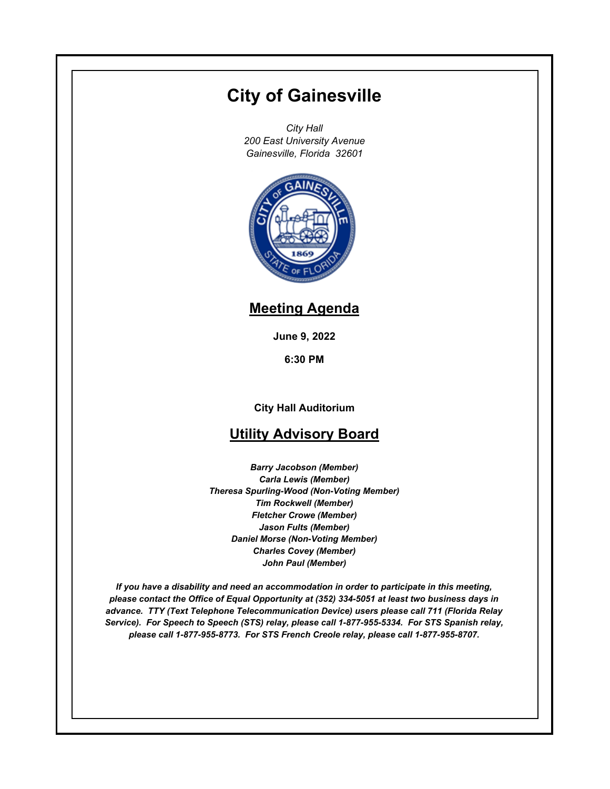# **City of Gainesville**

*City Hall 200 East University Avenue Gainesville, Florida 32601*



## **Meeting Agenda**

**June 9, 2022**

**6:30 PM**

**City Hall Auditorium**

## **Utility Advisory Board**

*Barry Jacobson (Member) Carla Lewis (Member) Theresa Spurling-Wood (Non-Voting Member) Tim Rockwell (Member) Fletcher Crowe (Member) Jason Fults (Member) Daniel Morse (Non-Voting Member) Charles Covey (Member) John Paul (Member)*

*If you have a disability and need an accommodation in order to participate in this meeting, please contact the Office of Equal Opportunity at (352) 334-5051 at least two business days in advance. TTY (Text Telephone Telecommunication Device) users please call 711 (Florida Relay Service). For Speech to Speech (STS) relay, please call 1-877-955-5334. For STS Spanish relay, please call 1-877-955-8773. For STS French Creole relay, please call 1-877-955-8707.*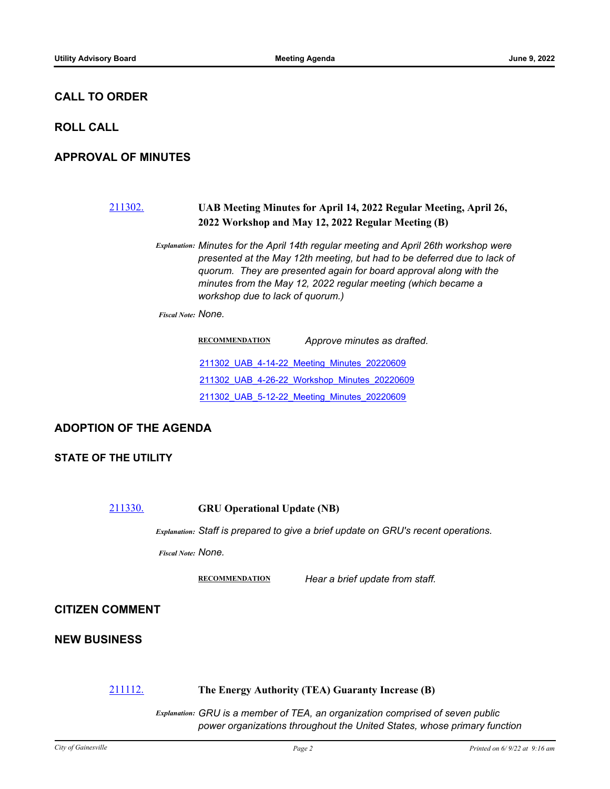#### **CALL TO ORDER**

#### **ROLL CALL**

#### **APPROVAL OF MINUTES**

### [211302.](http://gainesville.legistar.com/gateway.aspx?m=l&id=/matter.aspx?key=34084) **UAB Meeting Minutes for April 14, 2022 Regular Meeting, April 26, 2022 Workshop and May 12, 2022 Regular Meeting (B)**

*Explanation: Minutes for the April 14th regular meeting and April 26th workshop were presented at the May 12th meeting, but had to be deferred due to lack of quorum. They are presented again for board approval along with the minutes from the May 12, 2022 regular meeting (which became a workshop due to lack of quorum.)*

*Fiscal Note: None.*

| <b>RECOMMENDATION</b> | Approve minutes as drafted.                  |
|-----------------------|----------------------------------------------|
|                       | 211302 UAB 4-14-22 Meeting Minutes 20220609  |
|                       | 211302 UAB 4-26-22 Workshop Minutes 20220609 |
|                       | 211302 UAB 5-12-22 Meeting Minutes 20220609  |

#### **ADOPTION OF THE AGENDA**

#### **STATE OF THE UTILITY**

[211330.](http://gainesville.legistar.com/gateway.aspx?m=l&id=/matter.aspx?key=34112) **GRU Operational Update (NB)**

*Explanation: Staff is prepared to give a brief update on GRU's recent operations.*

*Fiscal Note: None.*

**RECOMMENDATION** *Hear a brief update from staff.*

#### **CITIZEN COMMENT**

#### **NEW BUSINESS**

#### [211112.](http://gainesville.legistar.com/gateway.aspx?m=l&id=/matter.aspx?key=33894) **The Energy Authority (TEA) Guaranty Increase (B)**

*Explanation: GRU is a member of TEA, an organization comprised of seven public power organizations throughout the United States, whose primary function*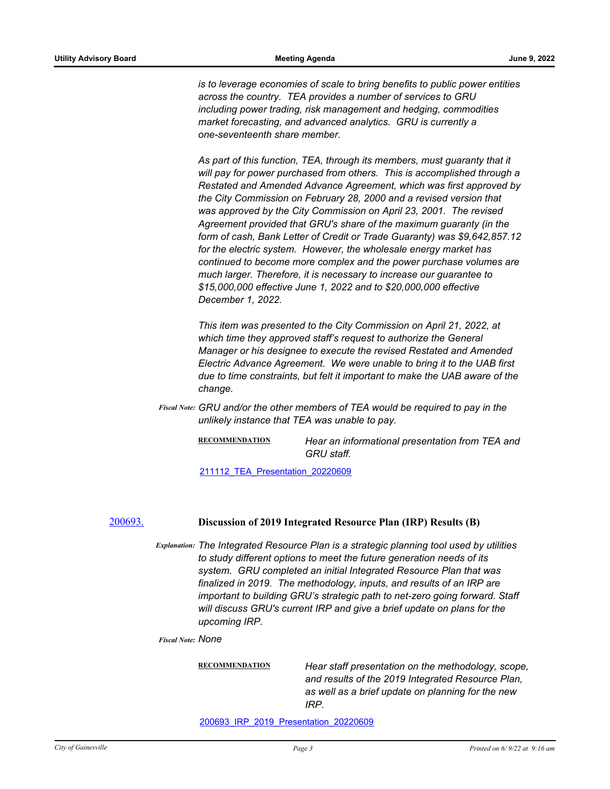*is to leverage economies of scale to bring benefits to public power entities across the country. TEA provides a number of services to GRU including power trading, risk management and hedging, commodities market forecasting, and advanced analytics. GRU is currently a one-seventeenth share member.* 

*As part of this function, TEA, through its members, must guaranty that it will pay for power purchased from others. This is accomplished through a Restated and Amended Advance Agreement, which was first approved by the City Commission on February 28, 2000 and a revised version that was approved by the City Commission on April 23, 2001. The revised Agreement provided that GRU's share of the maximum guaranty (in the form of cash, Bank Letter of Credit or Trade Guaranty) was \$9,642,857.12 for the electric system. However, the wholesale energy market has continued to become more complex and the power purchase volumes are much larger. Therefore, it is necessary to increase our guarantee to \$15,000,000 effective June 1, 2022 and to \$20,000,000 effective December 1, 2022.* 

*This item was presented to the City Commission on April 21, 2022, at which time they approved staff's request to authorize the General Manager or his designee to execute the revised Restated and Amended Electric Advance Agreement. We were unable to bring it to the UAB first due to time constraints, but felt it important to make the UAB aware of the change.*

Fiscal Note: GRU and/or the other members of TEA would be required to pay in the *unlikely instance that TEA was unable to pay.*

> **RECOMMENDATION** *Hear an informational presentation from TEA and GRU staff.*

[211112\\_TEA\\_Presentation\\_20220609](http://Gainesville.legistar.com/gateway.aspx?M=F&ID=07afc49f-d99c-40c8-97c3-d028f68dda64.pdf)

#### [200693.](http://gainesville.legistar.com/gateway.aspx?m=l&id=/matter.aspx?key=32236) **Discussion of 2019 Integrated Resource Plan (IRP) Results (B)**

*Explanation: The Integrated Resource Plan is a strategic planning tool used by utilities to study different options to meet the future generation needs of its system. GRU completed an initial Integrated Resource Plan that was finalized in 2019. The methodology, inputs, and results of an IRP are important to building GRU's strategic path to net-zero going forward. Staff will discuss GRU's current IRP and give a brief update on plans for the upcoming IRP.*

*Fiscal Note: None*

**RECOMMENDATION** *Hear staff presentation on the methodology, scope, and results of the 2019 Integrated Resource Plan, as well as a brief update on planning for the new IRP.*

[200693\\_IRP\\_2019\\_Presentation\\_20220609](http://Gainesville.legistar.com/gateway.aspx?M=F&ID=dc037989-5a3c-4afe-b1bd-1df812e4766e.pdf)